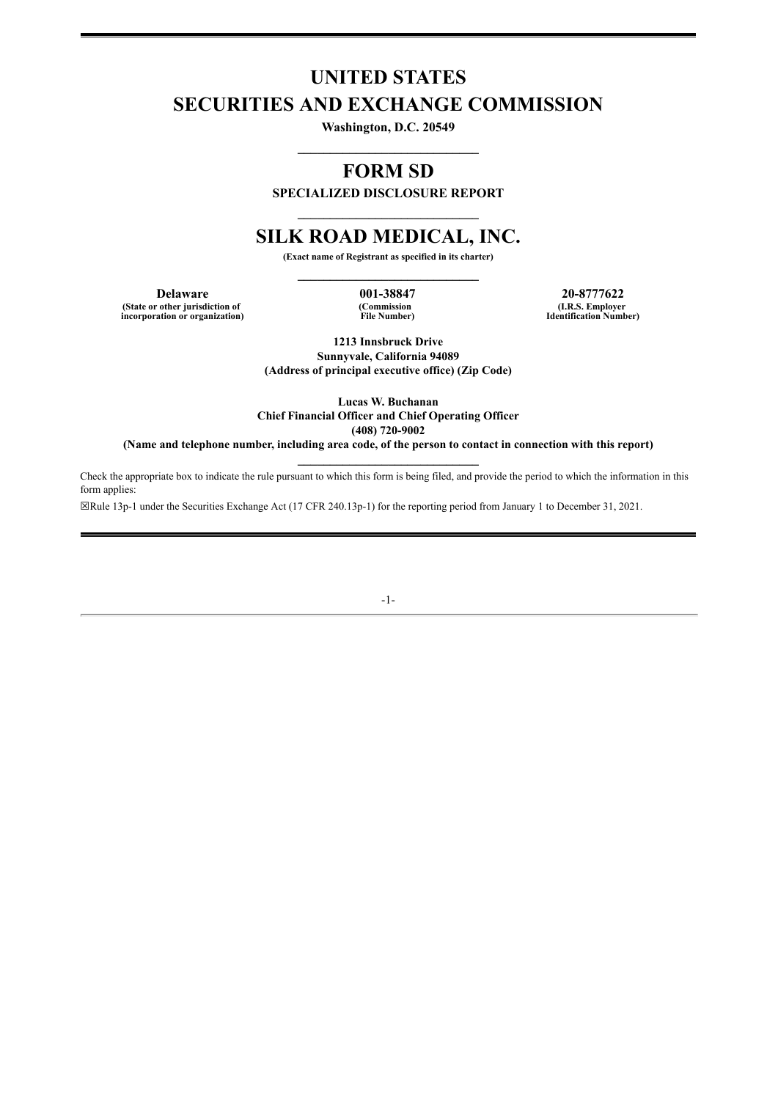# **UNITED STATES SECURITIES AND EXCHANGE COMMISSION**

**Washington, D.C. 20549 \_\_\_\_\_\_\_\_\_\_\_\_\_\_\_\_\_\_\_\_\_\_\_\_\_\_\_\_**

## **FORM SD**

**SPECIALIZED DISCLOSURE REPORT \_\_\_\_\_\_\_\_\_\_\_\_\_\_\_\_\_\_\_\_\_\_\_\_\_\_\_\_**

## **SILK ROAD MEDICAL, INC.**

**(Exact name of Registrant as specified in its charter) \_\_\_\_\_\_\_\_\_\_\_\_\_\_\_\_\_\_\_\_\_\_\_\_\_\_\_\_**

**Delaware 001-38847 20-8777622 (State or other jurisdiction of incorporation or organization)**

**(Commission File Number)**

**(I.R.S. Employer Identification Number)**

**1213 Innsbruck Drive Sunnyvale, California 94089 (Address of principal executive office) (Zip Code)**

**Lucas W. Buchanan Chief Financial Officer and Chief Operating Officer (408) 720-9002**

**(Name and telephone number, including area code, of the person to contact in connection with this report) \_\_\_\_\_\_\_\_\_\_\_\_\_\_\_\_\_\_\_\_\_\_\_\_\_\_\_\_**

Check the appropriate box to indicate the rule pursuant to which this form is being filed, and provide the period to which the information in this form applies:

☒Rule 13p-1 under the Securities Exchange Act (17 CFR 240.13p-1) for the reporting period from January 1 to December 31, 2021.

-1-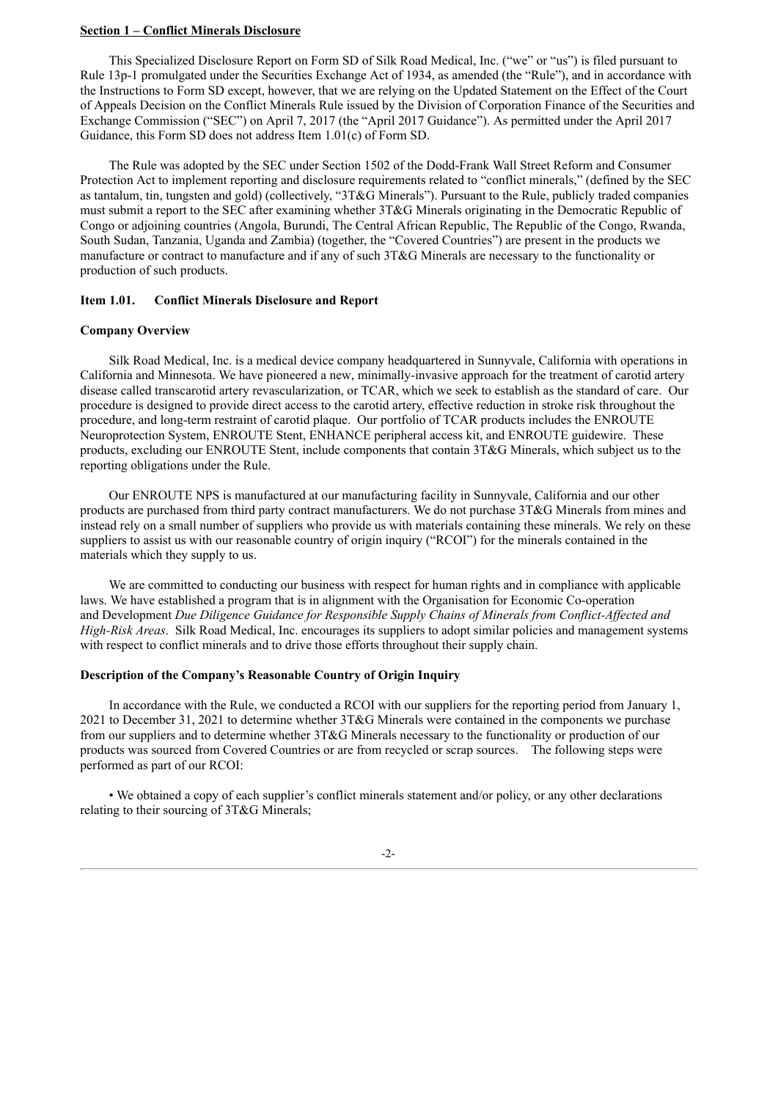## **Section 1 – Conflict Minerals Disclosure**

This Specialized Disclosure Report on Form SD of Silk Road Medical, Inc. ("we" or "us") is filed pursuant to Rule 13p-1 promulgated under the Securities Exchange Act of 1934, as amended (the "Rule"), and in accordance with the Instructions to Form SD except, however, that we are relying on the Updated Statement on the Effect of the Court of Appeals Decision on the Conflict Minerals Rule issued by the Division of Corporation Finance of the Securities and Exchange Commission ("SEC") on April 7, 2017 (the "April 2017 Guidance"). As permitted under the April 2017 Guidance, this Form SD does not address Item 1.01(c) of Form SD.

The Rule was adopted by the SEC under Section 1502 of the Dodd-Frank Wall Street Reform and Consumer Protection Act to implement reporting and disclosure requirements related to "conflict minerals," (defined by the SEC as tantalum, tin, tungsten and gold) (collectively, "3T&G Minerals"). Pursuant to the Rule, publicly traded companies must submit a report to the SEC after examining whether 3T&G Minerals originating in the Democratic Republic of Congo or adjoining countries (Angola, Burundi, The Central African Republic, The Republic of the Congo, Rwanda, South Sudan, Tanzania, Uganda and Zambia) (together, the "Covered Countries") are present in the products we manufacture or contract to manufacture and if any of such 3T&G Minerals are necessary to the functionality or production of such products.

### **Item 1.01. Conflict Minerals Disclosure and Report**

### **Company Overview**

Silk Road Medical, Inc. is a medical device company headquartered in Sunnyvale, California with operations in California and Minnesota. We have pioneered a new, minimally-invasive approach for the treatment of carotid artery disease called transcarotid artery revascularization, or TCAR, which we seek to establish as the standard of care. Our procedure is designed to provide direct access to the carotid artery, effective reduction in stroke risk throughout the procedure, and long-term restraint of carotid plaque. Our portfolio of TCAR products includes the ENROUTE Neuroprotection System, ENROUTE Stent, ENHANCE peripheral access kit, and ENROUTE guidewire. These products, excluding our ENROUTE Stent, include components that contain 3T&G Minerals, which subject us to the reporting obligations under the Rule.

Our ENROUTE NPS is manufactured at our manufacturing facility in Sunnyvale, California and our other products are purchased from third party contract manufacturers. We do not purchase 3T&G Minerals from mines and instead rely on a small number of suppliers who provide us with materials containing these minerals. We rely on these suppliers to assist us with our reasonable country of origin inquiry ("RCOI") for the minerals contained in the materials which they supply to us.

We are committed to conducting our business with respect for human rights and in compliance with applicable laws. We have established a program that is in alignment with the Organisation for Economic Co-operation and Development *Due Diligence Guidance for Responsible Supply Chains of Minerals from Conflict-Af ected and High-Risk Areas*. Silk Road Medical, Inc. encourages its suppliers to adopt similar policies and management systems with respect to conflict minerals and to drive those efforts throughout their supply chain.

### **Description of the Company's Reasonable Country of Origin Inquiry**

In accordance with the Rule, we conducted a RCOI with our suppliers for the reporting period from January 1, 2021 to December 31, 2021 to determine whether 3T&G Minerals were contained in the components we purchase from our suppliers and to determine whether 3T&G Minerals necessary to the functionality or production of our products was sourced from Covered Countries or are from recycled or scrap sources. The following steps were performed as part of our RCOI:

• We obtained a copy of each supplier's conflict minerals statement and/or policy, or any other declarations relating to their sourcing of 3T&G Minerals;

### -2-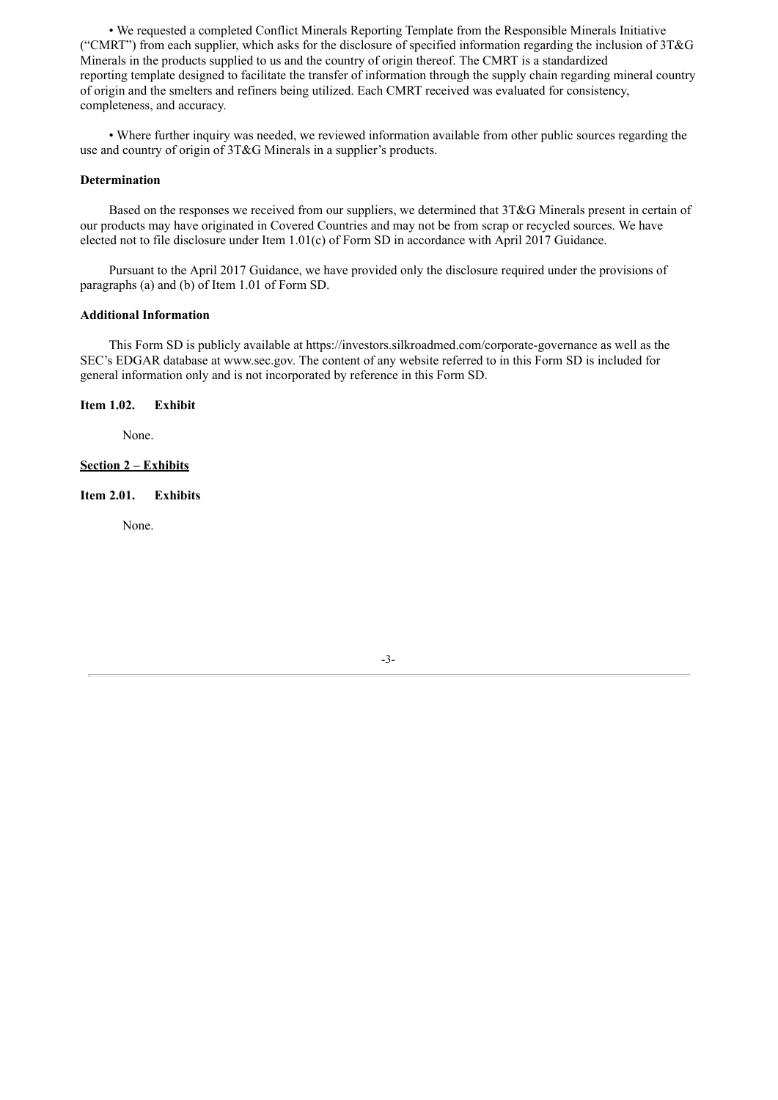• We requested a completed Conflict Minerals Reporting Template from the Responsible Minerals Initiative ("CMRT") from each supplier, which asks for the disclosure of specified information regarding the inclusion of  $3T\&G$ Minerals in the products supplied to us and the country of origin thereof. The CMRT is a standardized reporting template designed to facilitate the transfer of information through the supply chain regarding mineral country of origin and the smelters and refiners being utilized. Each CMRT received was evaluated for consistency, completeness, and accuracy.

• Where further inquiry was needed, we reviewed information available from other public sources regarding the use and country of origin of 3T&G Minerals in a supplier's products.

## **Determination**

Based on the responses we received from our suppliers, we determined that 3T&G Minerals present in certain of our products may have originated in Covered Countries and may not be from scrap or recycled sources. We have elected not to file disclosure under Item 1.01(c) of Form SD in accordance with April 2017 Guidance.

Pursuant to the April 2017 Guidance, we have provided only the disclosure required under the provisions of paragraphs (a) and (b) of Item 1.01 of Form SD.

#### **Additional Information**

This Form SD is publicly available at https://investors.silkroadmed.com/corporate-governance as well as the SEC's EDGAR database at www.sec.gov. The content of any website referred to in this Form SD is included for general information only and is not incorporated by reference in this Form SD.

#### **Item 1.02. Exhibit**

None.

### **Section 2 – Exhibits**

## **Item 2.01. Exhibits**

None.